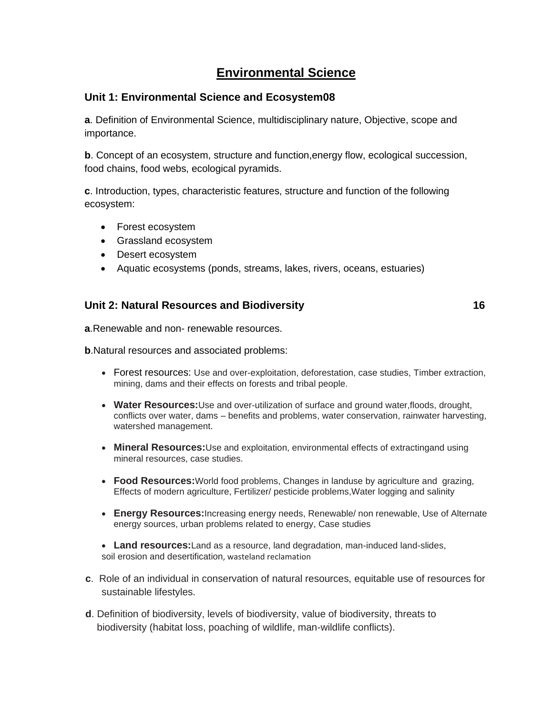# **Environmental Science**

#### **Unit 1: Environmental Science and Ecosystem08**

**a**. Definition of Environmental Science, multidisciplinary nature, Objective, scope and importance.

**b**. Concept of an ecosystem, structure and function,energy flow, ecological succession, food chains, food webs, ecological pyramids.

**c**. Introduction, types, characteristic features, structure and function of the following ecosystem:

- Forest ecosystem
- Grassland ecosystem
- Desert ecosystem
- Aquatic ecosystems (ponds, streams, lakes, rivers, oceans, estuaries)

#### **Unit 2: Natural Resources and Biodiversity 16**

**a**.Renewable and non- renewable resources.

**b**.Natural resources and associated problems:

- Forest resources: Use and over-exploitation, deforestation, case studies, Timber extraction, mining, dams and their effects on forests and tribal people.
- **Water Resources:**Use and over-utilization of surface and ground water,floods, drought, conflicts over water, dams – benefits and problems, water conservation, rainwater harvesting, watershed management.
- **Mineral Resources:**Use and exploitation, environmental effects of extractingand using mineral resources, case studies.
- **Food Resources:**World food problems, Changes in landuse by agriculture and grazing, Effects of modern agriculture, Fertilizer/ pesticide problems,Water logging and salinity
- **Energy Resources:**Increasing energy needs, Renewable/ non renewable, Use of Alternate energy sources, urban problems related to energy, Case studies
- **Land resources:**Land as a resource, land degradation, man-induced land-slides, soil erosion and desertification, wasteland reclamation
- **c**. Role of an individual in conservation of natural resources, equitable use of resources for sustainable lifestyles.
- **d**. Definition of biodiversity, levels of biodiversity, value of biodiversity, threats to biodiversity (habitat loss, poaching of wildlife, man-wildlife conflicts).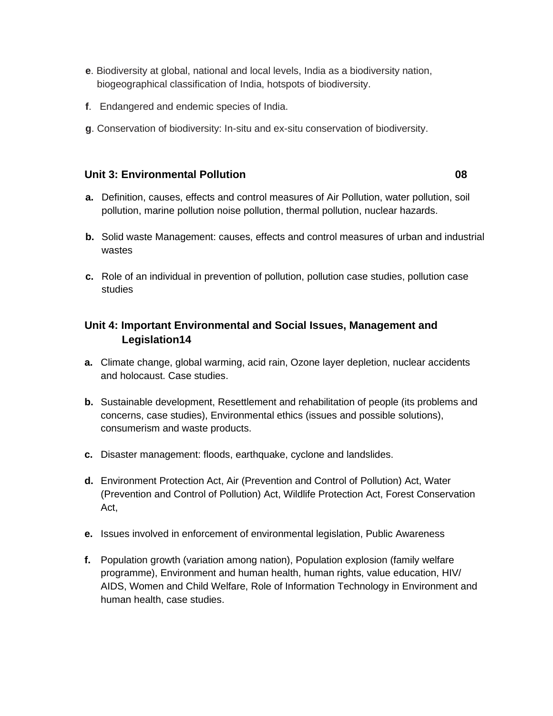- **e**. Biodiversity at global, national and local levels, India as a biodiversity nation, biogeographical classification of India, hotspots of biodiversity.
- **f**. Endangered and endemic species of India.
- **g**. Conservation of biodiversity: In-situ and ex-situ conservation of biodiversity.

#### **Unit 3: Environmental Pollution 08**

- **a.** Definition, causes, effects and control measures of Air Pollution, water pollution, soil pollution, marine pollution noise pollution, thermal pollution, nuclear hazards.
- **b.** Solid waste Management: causes, effects and control measures of urban and industrial wastes
- **c.** Role of an individual in prevention of pollution, pollution case studies, pollution case studies

## **Unit 4: Important Environmental and Social Issues, Management and Legislation14**

- **a.** Climate change, global warming, acid rain, Ozone layer depletion, nuclear accidents and holocaust. Case studies.
- **b.** Sustainable development, Resettlement and rehabilitation of people (its problems and concerns, case studies), Environmental ethics (issues and possible solutions), consumerism and waste products.
- **c.** Disaster management: floods, earthquake, cyclone and landslides.
- **d.** Environment Protection Act, Air (Prevention and Control of Pollution) Act, Water (Prevention and Control of Pollution) Act, Wildlife Protection Act, Forest Conservation Act,
- **e.** Issues involved in enforcement of environmental legislation, Public Awareness
- **f.** Population growth (variation among nation), Population explosion (family welfare programme), Environment and human health, human rights, value education, HIV/ AIDS, Women and Child Welfare, Role of Information Technology in Environment and human health, case studies.